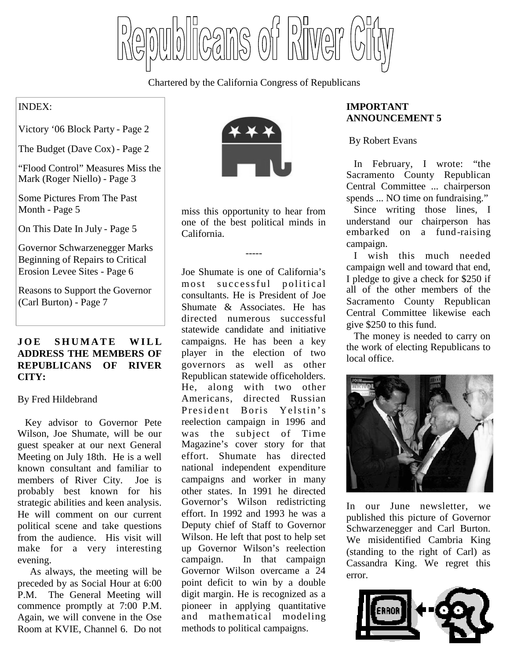licans of Pilver

Chartered by the California Congress of Republicans

# INDEX:

Victory '06 Block Party - Page 2

The Budget (Dave Cox) - Page 2

"Flood Control" Measures Miss the Mark (Roger Niello) - Page 3

Some Pictures From The Past Month - Page 5

On This Date In July - Page 5

Governor Schwarzenegger Marks Beginning of Repairs to Critical Erosion Levee Sites - Page 6

Reasons to Support the Governor (Carl Burton) - Page 7

# **JOE SHUMATE WILL ADDRESS THE MEMBERS OF REPUBLICANS OF RIVER CITY:**

#### By Fred Hildebrand

Key advisor to Governor Pete Wilson, Joe Shumate, will be our guest speaker at our next General Meeting on July 18th. He is a well known consultant and familiar to members of River City. Joe is probably best known for his strategic abilities and keen analysis. He will comment on our current political scene and take questions from the audience. His visit will make for a very interesting evening.

As always, the meeting will be preceded by as Social Hour at 6:00 P.M. The General Meeting will commence promptly at 7:00 P.M. Again, we will convene in the Ose Room at KVIE, Channel 6. Do not



miss this opportunity to hear from one of the best political minds in California.

-----

Joe Shumate is one of California's most successful political consultants. He is President of Joe Shumate & Associates. He has directed numerous successful statewide candidate and initiative campaigns. He has been a key player in the election of two governors as well as other Republican statewide officeholders. He, along with two other Americans, directed Russian President Boris Yelstin's reelection campaign in 1996 and was the subject of Time Magazine's cover story for that effort. Shumate has directed national independent expenditure campaigns and worker in many other states. In 1991 he directed Governor's Wilson redistricting effort. In 1992 and 1993 he was a Deputy chief of Staff to Governor Wilson. He left that post to help set up Governor Wilson's reelection campaign. In that campaign Governor Wilson overcame a 24 point deficit to win by a double digit margin. He is recognized as a pioneer in applying quantitative and mathematical modeling methods to political campaigns.

# **IMPORTANT ANNOUNCEMENT 5**

By Robert Evans

In February, I wrote: "the Sacramento County Republican Central Committee ... chairperson spends ... NO time on fundraising."

Since writing those lines, I understand our chairperson has embarked on a fund-raising campaign.

I wish this much needed campaign well and toward that end, I pledge to give a check for \$250 if all of the other members of the Sacramento County Republican Central Committee likewise each give \$250 to this fund.

The money is needed to carry on the work of electing Republicans to local office.



In our June newsletter, we published this picture of Governor Schwarzenegger and Carl Burton. We misidentified Cambria King (standing to the right of Carl) as Cassandra King. We regret this error.

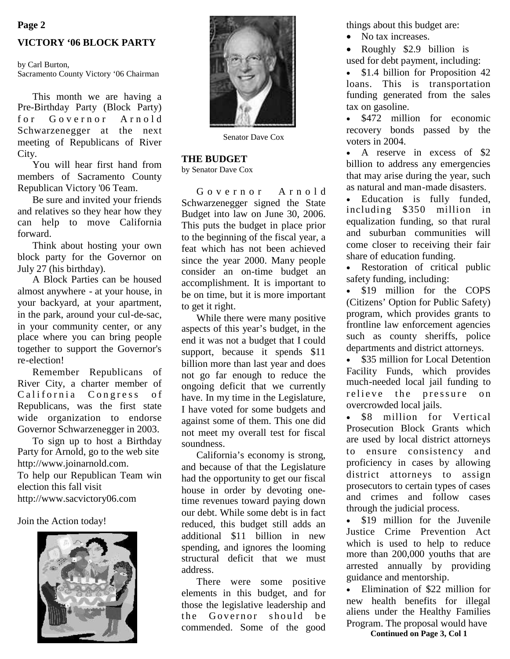#### **Page 2**

#### **VICTORY '06 BLOCK PARTY**

by Carl Burton, Sacramento County Victory '06 Chairman

This month we are having a Pre-Birthday Party (Block Party) for Governor Arnold Schwarzenegger at the next meeting of Republicans of River City.

You will hear first hand from members of Sacramento County Republican Victory '06 Team.

Be sure and invited your friends and relatives so they hear how they can help to move California forward.

Think about hosting your own block party for the Governor on July 27 (his birthday).

A Block Parties can be housed almost anywhere - at your house, in your backyard, at your apartment, in the park, around your cul-de-sac, in your community center, or any place where you can bring people together to support the Governor's re-election!

Remember Republicans of River City, a charter member of California Congress of Republicans, was the first state wide organization to endorse Governor Schwarzenegger in 2003.

To sign up to host a Birthday Party for Arnold, go to the web site http://www.joinarnold.com. To help our Republican Team win election this fall visit http://www.sacvictory06.com

#### Join the Action today!





Senator Dave Cox

#### **THE BUDGET**

by Senator Dave Cox

Governor Arnold Schwarzenegger signed the State Budget into law on June 30, 2006. This puts the budget in place prior to the beginning of the fiscal year, a feat which has not been achieved since the year 2000. Many people consider an on-time budget an accomplishment. It is important to be on time, but it is more important to get it right.

While there were many positive aspects of this year's budget, in the end it was not a budget that I could support, because it spends \$11 billion more than last year and does not go far enough to reduce the ongoing deficit that we currently have. In my time in the Legislature, I have voted for some budgets and against some of them. This one did not meet my overall test for fiscal soundness.

California's economy is strong, and because of that the Legislature had the opportunity to get our fiscal house in order by devoting onetime revenues toward paying down our debt. While some debt is in fact reduced, this budget still adds an additional \$11 billion in new spending, and ignores the looming structural deficit that we must address.

There were some positive elements in this budget, and for those the legislative leadership and the Governor should be commended. Some of the good

things about this budget are:

- No tax increases.
- Roughly \$2.9 billion is

used for debt payment, including:

• \$1.4 billion for Proposition 42 loans. This is transportation funding generated from the sales tax on gasoline.

• \$472 million for economic recovery bonds passed by the voters in 2004.

 A reserve in excess of \$2 billion to address any emergencies that may arise during the year, such as natural and man-made disasters.

 Education is fully funded, including \$350 million in equalization funding, so that rural and suburban communities will come closer to receiving their fair share of education funding.

 Restoration of critical public safety funding, including:

• \$19 million for the COPS (Citizens' Option for Public Safety) program, which provides grants to frontline law enforcement agencies such as county sheriffs, police departments and district attorneys.

• \$35 million for Local Detention Facility Funds, which provides much-needed local jail funding to relieve the pressure on overcrowded local jails.

• \$8 million for Vertical Prosecution Block Grants which are used by local district attorneys to ensure consistency and proficiency in cases by allowing district attorneys to assign prosecutors to certain types of cases and crimes and follow cases through the judicial process.

• \$19 million for the Juvenile Justice Crime Prevention Act which is used to help to reduce more than 200,000 youths that are arrested annually by providing guidance and mentorship.

 Elimination of \$22 million for new health benefits for illegal aliens under the Healthy Families Program. The proposal would have

**Continued on Page 3, Col 1**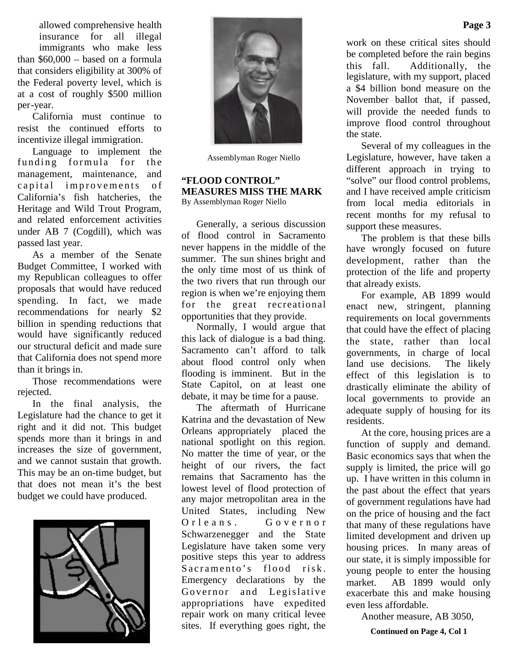allowed comprehensive health insurance for all illegal immigrants who make less than \$60,000 – based on a formula that considers eligibility at 300% of the Federal poverty level, which is at a cost of roughly \$500 million per-year.

California must continue to resist the continued efforts to incentivize illegal immigration.

Language to implement the funding formula for the management, maintenance, and capital improvements of California's fish hatcheries, the Heritage and Wild Trout Program, and related enforcement activities under AB 7 (Cogdill), which was passed last year.

As a member of the Senate Budget Committee, I worked with my Republican colleagues to offer proposals that would have reduced spending. In fact, we made recommendations for nearly \$2 billion in spending reductions that would have significantly reduced our structural deficit and made sure that California does not spend more than it brings in.

Those recommendations were rejected.

In the final analysis, the Legislature had the chance to get it right and it did not. This budget spends more than it brings in and increases the size of government, and we cannot sustain that growth. This may be an on-time budget, but that does not mean it's the best budget we could have produced.





Assemblyman Roger Niello

#### **"FLOOD CONTROL" MEASURES MISS THE MARK** By Assemblyman Roger Niello

Generally, a serious discussion of flood control in Sacramento never happens in the middle of the summer. The sun shines bright and the only time most of us think of the two rivers that run through our region is when we're enjoying them for the great recreational opportunities that they provide.

Normally, I would argue that this lack of dialogue is a bad thing. Sacramento can't afford to talk about flood control only when flooding is imminent. But in the State Capitol, on at least one debate, it may be time for a pause.

The aftermath of Hurricane Katrina and the devastation of New Orleans appropriately placed the national spotlight on this region. No matter the time of year, or the height of our rivers, the fact remains that Sacramento has the lowest level of flood protection of any major metropolitan area in the United States, including New Orleans. Governor Schwarzenegger and the State Legislature have taken some very positive steps this year to address Sacramento's flood risk. Emergency declarations by the Governor and Legislative appropriations have expedited repair work on many critical levee sites. If everything goes right, the

work on these critical sites should be completed before the rain begins this fall. Additionally, the legislature, with my support, placed a \$4 billion bond measure on the November ballot that, if passed, will provide the needed funds to improve flood control throughout the state.

Several of my colleagues in the Legislature, however, have taken a different approach in trying to "solve" our flood control problems, and I have received ample criticism from local media editorials in recent months for my refusal to support these measures.

The problem is that these bills have wrongly focused on future development, rather than the protection of the life and property that already exists.

For example, AB 1899 would enact new, stringent, planning requirements on local governments that could have the effect of placing the state, rather than local governments, in charge of local land use decisions. The likely effect of this legislation is to drastically eliminate the ability of local governments to provide an adequate supply of housing for its residents.

At the core, housing prices are a function of supply and demand. Basic economics says that when the supply is limited, the price will go up. I have written in this column in the past about the effect that years of government regulations have had on the price of housing and the fact that many of these regulations have limited development and driven up housing prices. In many areas of our state, it is simply impossible for young people to enter the housing market. AB 1899 would only exacerbate this and make housing even less affordable.

Another measure, AB 3050,

**Continued on Page 4, Col 1**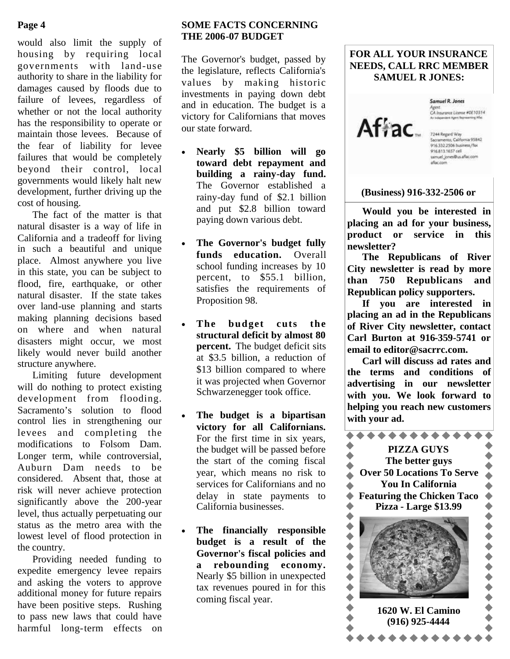# **Page 4**

would also limit the supply of housing by requiring local governments with land-use authority to share in the liability for damages caused by floods due to failure of levees, regardless of whether or not the local authority has the responsibility to operate or maintain those levees. Because of the fear of liability for levee failures that would be completely beyond their control, local governments would likely halt new development, further driving up the cost of housing.

The fact of the matter is that natural disaster is a way of life in California and a tradeoff for living in such a beautiful and unique place. Almost anywhere you live in this state, you can be subject to flood, fire, earthquake, or other natural disaster. If the state takes over land-use planning and starts making planning decisions based on where and when natural disasters might occur, we most likely would never build another structure anywhere.

Limiting future development will do nothing to protect existing development from flooding. Sacramento's solution to flood control lies in strengthening our levees and completing the modifications to Folsom Dam. Longer term, while controversial, Auburn Dam needs to be considered. Absent that, those at risk will never achieve protection significantly above the 200-year level, thus actually perpetuating our status as the metro area with the lowest level of flood protection in the country.

Providing needed funding to expedite emergency levee repairs and asking the voters to approve additional money for future repairs have been positive steps. Rushing to pass new laws that could have harmful long-term effects on

# **SOME FACTS CONCERNING THE 2006-07 BUDGET**

The Governor's budget, passed by the legislature, reflects California's values by making historic investments in paying down debt and in education. The budget is a victory for Californians that moves our state forward.

- **Nearly \$5 billion will go toward debt repayment and building a rainy-day fund.** The Governor established a rainy-day fund of \$2.1 billion and put \$2.8 billion toward paying down various debt.
- **The Governor's budget fully funds education.** Overall school funding increases by 10 percent, to \$55.1 billion, satisfies the requirements of Proposition 98.
- **The budget cuts the structural deficit by almost 80 percent.** The budget deficit sits at \$3.5 billion, a reduction of \$13 billion compared to where it was projected when Governor Schwarzenegger took office.
- **The budget is a bipartisan victory for all Californians.** For the first time in six years, the budget will be passed before the start of the coming fiscal year, which means no risk to services for Californians and no delay in state payments to California businesses.
- **The financially responsible budget is a result of the Governor's fiscal policies and a rebounding economy.** Nearly \$5 billion in unexpected tax revenues poured in for this coming fiscal year.

# **FOR ALL YOUR INSURANCE NEEDS, CALL RRC MEMBER SAMUEL R JONES:**



Samuel R. Jones Agent.<br>CA Insurance License #0E10314

7244 Regard Way Sacramento, California 95842<br>916.332.2506 business/fax 916.813.1657 cell samuel\_jones@us.aflac.com aflac.com

### **(Business) 916-332-2506 or**

**Would you be interested in placing an ad for your business, product or service in this newsletter?**

**The Republicans of River City newsletter is read by more than 750 Republicans and Republican policy supporters.**

**If you are interested in placing an ad in the Republicans of River City newsletter, contact Carl Burton at 916-359-5741 or email to editor@sacrrc.com.**

**Carl will discuss ad rates and the terms and conditions of advertising in our newsletter with you. We look forward to helping you reach new customers with your ad.**

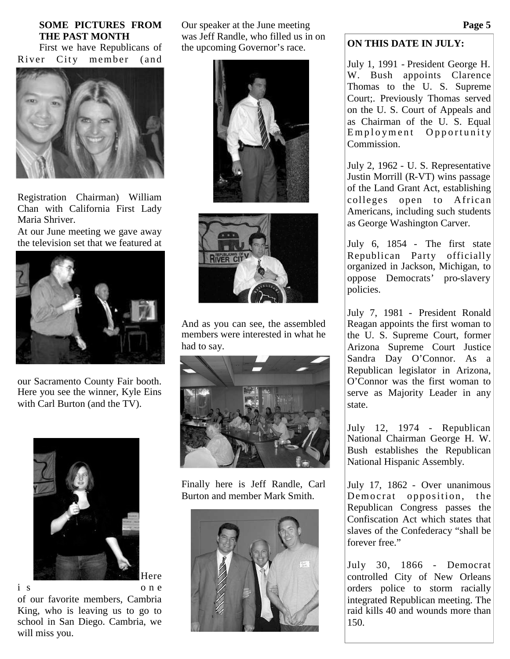### **SOME PICTURES FROM THE PAST MONTH**

First we have Republicans of River City member (and



Registration Chairman) William Chan with California First Lady Maria Shriver.

At our June meeting we gave away the television set that we featured at



our Sacramento County Fair booth. Here you see the winner, Kyle Eins with Carl Burton (and the TV).



Here

i s o n e of our favorite members, Cambria King, who is leaving us to go to school in San Diego. Cambria, we will miss you.

Our speaker at the June meeting was Jeff Randle, who filled us in on the upcoming Governor's race.





And as you can see, the assembled members were interested in what he had to say.



Finally here is Jeff Randle, Carl Burton and member Mark Smith.



# **ON THIS DATE IN JULY:**

July 1, 1991 - President George H. W. Bush appoints Clarence Thomas to the U. S. Supreme Court;. Previously Thomas served on the U. S. Court of Appeals and as Chairman of the U. S. Equal  $Employment$  Opportunity Commission.

July 2, 1962 - U. S. Representative Justin Morrill (R-VT) wins passage of the Land Grant Act, establishing colleges open to African Americans, including such students as George Washington Carver.

July 6, 1854 - The first state Republican Party officially organized in Jackson, Michigan, to oppose Democrats' pro-slavery policies.

July 7, 1981 - President Ronald Reagan appoints the first woman to the U. S. Supreme Court, former Arizona Supreme Court Justice Sandra Day O'Connor. As a Republican legislator in Arizona, O'Connor was the first woman to serve as Majority Leader in any state.

July 12, 1974 - Republican National Chairman George H. W. Bush establishes the Republican National Hispanic Assembly.

July 17, 1862 - Over unanimous Democrat opposition, the Republican Congress passes the Confiscation Act which states that slaves of the Confederacy "shall be forever free."

July 30, 1866 - Democrat controlled City of New Orleans orders police to storm racially integrated Republican meeting. The raid kills 40 and wounds more than 150.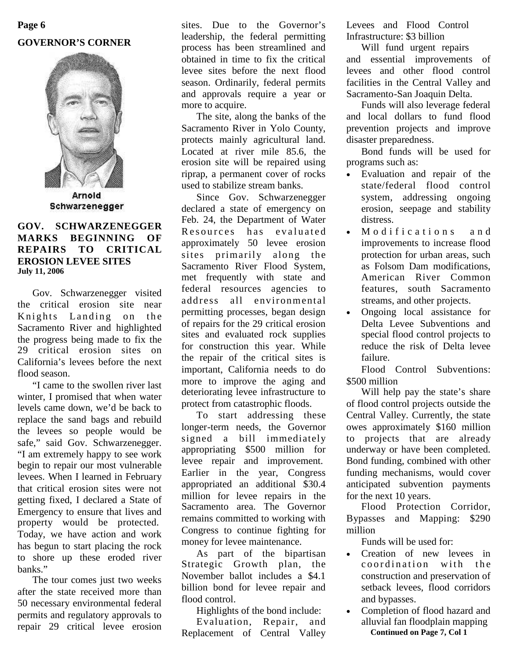# **GOVERNOR'S CORNER Page 6**



Arnold Schwarzenegger

### **GOV. SCHWARZENEGGER MARKS BEGINNING OF REPAIRS TO CRITICAL EROSION LEVEE SITES July 11, 2006**

Gov. Schwarzenegger visited the critical erosion site near Knights Landing on the Sacramento River and highlighted the progress being made to fix the 29 critical erosion sites on California's levees before the next flood season.

"I came to the swollen river last winter, I promised that when water levels came down, we'd be back to replace the sand bags and rebuild the levees so people would be safe," said Gov. Schwarzenegger. "I am extremely happy to see work begin to repair our most vulnerable levees. When I learned in February that critical erosion sites were not getting fixed, I declared a State of Emergency to ensure that lives and property would be protected. Today, we have action and work has begun to start placing the rock to shore up these eroded river banks."

The tour comes just two weeks after the state received more than 50 necessary environmental federal permits and regulatory approvals to repair 29 critical levee erosion

sites. Due to the Governor's leadership, the federal permitting process has been streamlined and obtained in time to fix the critical levee sites before the next flood season. Ordinarily, federal permits and approvals require a year or more to acquire.

The site, along the banks of the Sacramento River in Yolo County, protects mainly agricultural land. Located at river mile 85.6, the erosion site will be repaired using riprap, a permanent cover of rocks used to stabilize stream banks.

Since Gov. Schwarzenegger declared a state of emergency on Feb. 24, the Department of Water Resources has evaluated approximately 50 levee erosion sites primarily along the Sacramento River Flood System, met frequently with state and federal resources agencies to address all environmental permitting processes, began design of repairs for the 29 critical erosion sites and evaluated rock supplies for construction this year. While the repair of the critical sites is important, California needs to do more to improve the aging and deteriorating levee infrastructure to protect from catastrophic floods.

To start addressing these longer-term needs, the Governor signed a bill immediately appropriating \$500 million for levee repair and improvement. Earlier in the year, Congress appropriated an additional \$30.4 million for levee repairs in the Sacramento area. The Governor remains committed to working with Congress to continue fighting for money for levee maintenance.

As part of the bipartisan Strategic Growth plan, the November ballot includes a \$4.1 billion bond for levee repair and flood control.

Highlights of the bond include: Evaluation, Repair, and Replacement of Central Valley

Levees and Flood Control Infrastructure: \$3 billion

Will fund urgent repairs and essential improvements of levees and other flood control facilities in the Central Valley and Sacramento-San Joaquin Delta.

Funds will also leverage federal and local dollars to fund flood prevention projects and improve disaster preparedness.

Bond funds will be used for programs such as:

- Evaluation and repair of the state/federal flood control system, addressing ongoing erosion, seepage and stability distress.
- Modifications and improvements to increase flood protection for urban areas, such as Folsom Dam modifications, American River Common features, south Sacramento streams, and other projects.
- Ongoing local assistance for Delta Levee Subventions and special flood control projects to reduce the risk of Delta levee failure.

Flood Control Subventions: \$500 million

Will help pay the state's share of flood control projects outside the Central Valley. Currently, the state owes approximately \$160 million to projects that are already underway or have been completed. Bond funding, combined with other funding mechanisms, would cover anticipated subvention payments for the next 10 years.

Flood Protection Corridor, Bypasses and Mapping: \$290 million

Funds will be used for:

- Creation of new levees in<br>coordination with the coordination with construction and preservation of setback levees, flood corridors and bypasses.
- Completion of flood hazard and alluvial fan floodplain mapping **Continued on Page 7, Col 1**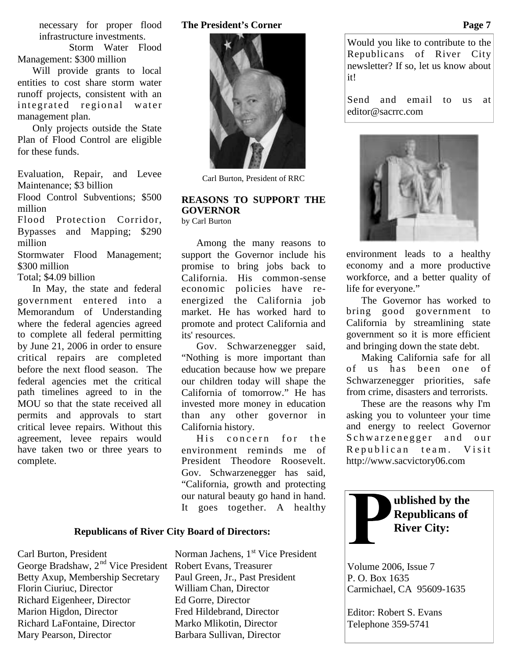necessary for proper flood infrastructure investments.

Storm Water Flood Management: \$300 million

Will provide grants to local entities to cost share storm water runoff projects, consistent with an integrated regional water management plan.

Only projects outside the State Plan of Flood Control are eligible for these funds.

Evaluation, Repair, and Levee Maintenance; \$3 billion

Flood Control Subventions; \$500 million

Flood Protection Corridor, Bypasses and Mapping; \$290 million

Stormwater Flood Management; \$300 million

Total; \$4.09 billion

In May, the state and federal government entered into a Memorandum of Understanding where the federal agencies agreed to complete all federal permitting by June 21, 2006 in order to ensure critical repairs are completed before the next flood season. The federal agencies met the critical path timelines agreed to in the MOU so that the state received all permits and approvals to start critical levee repairs. Without this agreement, levee repairs would have taken two or three years to complete.

#### **The President's Corner**



Carl Burton, President of RRC

# **REASONS TO SUPPORT THE GOVERNOR**

by Carl Burton

Among the many reasons to support the Governor include his promise to bring jobs back to California. His common-sense economic policies have reenergized the California job market. He has worked hard to promote and protect California and its' resources.

Gov. Schwarzenegger said, "Nothing is more important than education because how we prepare our children today will shape the California of tomorrow." He has invested more money in education than any other governor in California history.

His concern for the environment reminds me of President Theodore Roosevelt. Gov. Schwarzenegger has said, "California, growth and protecting our natural beauty go hand in hand. It goes together. A healthy

### **Republicans of River City Board of Directors:**

George Bradshaw, 2<sup>nd</sup> Vice President Robert Evans, Treasurer Betty Axup, Membership Secretary Paul Green, Jr., Past President Florin Ciuriuc, Director William Chan, Director Richard Eigenheer, Director Ed Gorre, Director Marion Higdon, Director Fred Hildebrand, Director Richard LaFontaine, Director Marko Mlikotin, Director Mary Pearson, Director Barbara Sullivan, Director

Carl Burton, President Norman Jachens, 1<sup>st</sup> Vice President

Would you like to contribute to the Republicans of River City newsletter? If so, let us know about it!

Send and email to us at editor@sacrrc.com



environment leads to a healthy economy and a more productive workforce, and a better quality of life for everyone."

The Governor has worked to bring good government to California by streamlining state government so it is more efficient and bringing down the state debt.

Making California safe for all of us has been one of Schwarzenegger priorities, safe from crime, disasters and terrorists.

These are the reasons why I'm asking you to volunteer your time and energy to reelect Governor Schwarzenegger and our Republican team. Visit http://www.sacvictory06.com



Volume 2006, Issue 7 P. O. Box 1635 Carmichael, CA 95609-1635

Editor: Robert S. Evans Telephone 359-5741